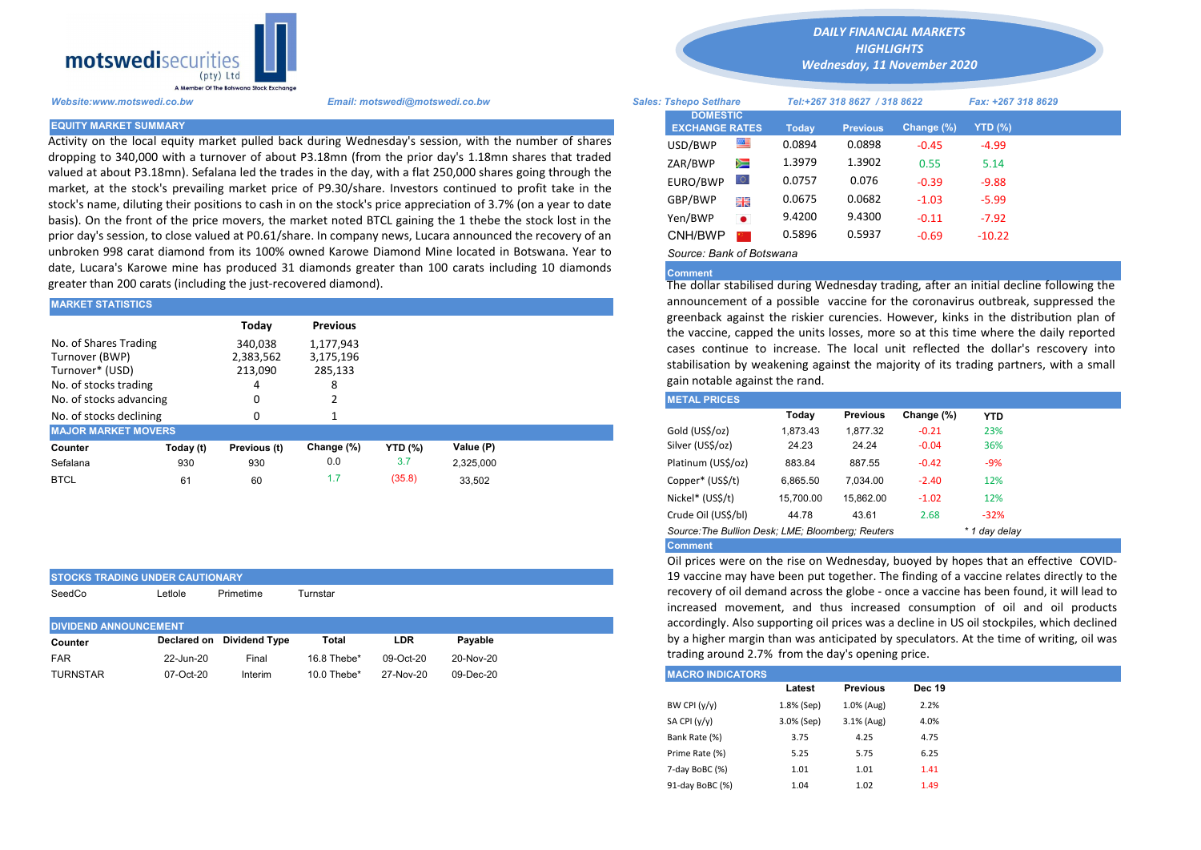

STOCKS TRADING UNDER CAUTIONARY

Activity on the local equity market pulled back during Wednesday's session, with the number of shares dropping to 340,000 with a turnover of about P3.18mn (from the prior day's 1.18mn shares that traded valued at about P3.18mn). Sefalana led the trades in the day, with a flat 250,000 shares going through the market, at the stock's prevailing market price of P9.30/share. Investors continued to profit take in the stock's name, diluting their positions to cash in on the stock's price appreciation of 3.7% (on a year to date basis). On the front of the price movers, the market noted BTCL gaining the 1 thebe the stock lost in the prior day's session, to close valued at P0.61/share. In company news, Lucara announced the recovery of an unbroken 998 carat diamond from its 100% owned Karowe Diamond Mine located in Botswana. Year to date, Lucara's Karowe mine has produced 31 diamonds greater than 100 carats including 10 diamonds greater than 200 carats (including the just-recovered diamond).

| <b>MARKET STATISTICS</b>                                                            |                                 |                                   |            |                |           |                                                                                                                                             | announcement of a possible vaccine for the coronavirus outbreak. |                                                                                                                                            |                 |            |            |  |
|-------------------------------------------------------------------------------------|---------------------------------|-----------------------------------|------------|----------------|-----------|---------------------------------------------------------------------------------------------------------------------------------------------|------------------------------------------------------------------|--------------------------------------------------------------------------------------------------------------------------------------------|-----------------|------------|------------|--|
| Todav<br><b>Previous</b>                                                            |                                 |                                   |            |                |           | greenback against the riskier curencies. However, kinks in the dist<br>the vaccine, capped the units losses, more so at this time where the |                                                                  |                                                                                                                                            |                 |            |            |  |
| No. of Shares Trading<br>Turnover (BWP)<br>Turnover* (USD)<br>No. of stocks trading | 340,038<br>2,383,562<br>213,090 | 1,177,943<br>3,175,196<br>285,133 |            |                |           | gain notable against the rand.                                                                                                              |                                                                  | cases continue to increase. The local unit reflected the dollar's<br>stabilisation by weakening against the majority of its trading partne |                 |            |            |  |
| No. of stocks advancing                                                             |                                 |                                   |            |                |           |                                                                                                                                             | <b>METAL PRICES</b>                                              |                                                                                                                                            |                 |            |            |  |
| No. of stocks declining                                                             |                                 |                                   |            |                |           |                                                                                                                                             |                                                                  | Today                                                                                                                                      | <b>Previous</b> | Change (%) | <b>YTD</b> |  |
| <b>MAJOR MARKET MOVERS</b>                                                          |                                 |                                   |            |                |           |                                                                                                                                             | Gold (US\$/oz)                                                   | 1.873.43                                                                                                                                   | 1.877.32        | $-0.21$    | 23%        |  |
| Counter                                                                             | Today (t)                       | Previous (t)                      | Change (%) | <b>YTD (%)</b> | Value (P) |                                                                                                                                             | Silver (US\$/oz)                                                 | 24.23                                                                                                                                      | 24.24           | $-0.04$    | 36%        |  |
| Sefalana                                                                            | 930                             | 930                               | 0.0        | 3.7            | 2.325.000 |                                                                                                                                             | Platinum (US\$/oz)                                               | 883.84                                                                                                                                     | 887.55          | $-0.42$    | -9%        |  |
| <b>BTCL</b>                                                                         | 61                              | 60                                | 1.7        | (35.8)         | 33,502    |                                                                                                                                             | Copper* (US\$/t)                                                 | 6,865.50                                                                                                                                   | 7.034.00        | $-2.40$    | 12%        |  |

| SeedCo                       | Letlole   | Primetime                 | Turnstar    |           |           |  |
|------------------------------|-----------|---------------------------|-------------|-----------|-----------|--|
| <b>DIVIDEND ANNOUNCEMENT</b> |           |                           |             |           |           |  |
| Counter                      |           | Declared on Dividend Type | Total       | LDR       | Pavable   |  |
| <b>FAR</b>                   | 22-Jun-20 | Final                     | 16.8 Thebe* | 09-Oct-20 | 20-Nov-20 |  |
| <b>TURNSTAR</b>              | 07-Oct-20 | Interim                   | 10.0 Thebe* | 27-Nov-20 | 09-Dec-20 |  |

*DAILY FINANCIAL MARKETS HIGHLIGHTS*

*Wednesday, 11 November 2020* 

| A Member Of the Boiswand Slock Exchange                                                         |                                                                                                                                                                                                                        |                                          |           |                              |                 |            |                    |  |
|-------------------------------------------------------------------------------------------------|------------------------------------------------------------------------------------------------------------------------------------------------------------------------------------------------------------------------|------------------------------------------|-----------|------------------------------|-----------------|------------|--------------------|--|
| Website:www.motswedi.co.bw                                                                      | Email: motswedi@motswedi.co.bw                                                                                                                                                                                         | <b>Sales: Tshepo Setlhare</b>            |           | Tel:+267 318 8627 / 318 8622 |                 |            | Fax: +267 318 8629 |  |
| <b>EQUITY MARKET SUMMARY.</b>                                                                   |                                                                                                                                                                                                                        | <b>DOMESTIC</b><br><b>EXCHANGE RATES</b> |           | Today                        | <b>Previous</b> | Change (%) | $YTD(\%)$          |  |
|                                                                                                 | Activity on the local equity market pulled back during Wednesday's session, with the number of shares                                                                                                                  | USD/BWP                                  | 四         | 0.0894                       | 0.0898          | $-0.45$    | $-4.99$            |  |
|                                                                                                 | dropping to 340,000 with a turnover of about P3.18mn (from the prior day's 1.18mn shares that traded                                                                                                                   | ZAR/BWP                                  | Ň         | 1.3979                       | 1.3902          | 0.55       | 5.14               |  |
|                                                                                                 | ralued at about P3.18mn). Sefalana led the trades in the day, with a flat 250,000 shares going through the<br>market, at the stock's prevailing market price of P9.30/share. Investors continued to profit take in the | EURO/BWP                                 |           | 0.0757                       | 0.076           | $-0.39$    | $-9.88$            |  |
|                                                                                                 | tock's name, diluting their positions to cash in on the stock's price appreciation of 3.7% (on a year to date                                                                                                          | GBP/BWP                                  | 開幕        | 0.0675                       | 0.0682          | $-1.03$    | $-5.99$            |  |
|                                                                                                 | basis). On the front of the price movers, the market noted BTCL gaining the 1 thebe the stock lost in the                                                                                                              | Yen/BWP                                  | $\bullet$ | 9.4200                       | 9.4300          | $-0.11$    | $-7.92$            |  |
|                                                                                                 | prior day's session, to close valued at P0.61/share. In company news, Lucara announced the recovery of an                                                                                                              | CNH/BWP                                  |           | 0.5896                       | 0.5937          | $-0.69$    | $-10.22$           |  |
| unbroken 998 carat diamond from its 100% owned Karowe Diamond Mine located in Botswana. Year to | Source: Bank of Botswana                                                                                                                                                                                               |                                          |           |                              |                 |            |                    |  |

## **Comment**

The dollar stabilised during Wednesday trading, after an initial decline following the announcement of a possible vaccine for the coronavirus outbreak, suppressed the greenback against the riskier curencies. However, kinks in the distribution plan of the vaccine, capped the units losses, more so at this time where the daily reported cases continue to increase. The local unit reflected the dollar's rescovery into stabilisation by weakening against the majority of its trading partners, with a small gain notable against the rand.

| <b>METAL PRICES</b>                               |           |                 |            |               |
|---------------------------------------------------|-----------|-----------------|------------|---------------|
|                                                   | Today     | <b>Previous</b> | Change (%) | <b>YTD</b>    |
| Gold (US\$/oz)                                    | 1.873.43  | 1.877.32        | $-0.21$    | 23%           |
| Silver (US\$/oz)                                  | 24.23     | 24.24           | $-0.04$    | 36%           |
| Platinum (US\$/oz)                                | 883.84    | 887.55          | $-0.42$    | $-9%$         |
| Copper* (US\$/t)                                  | 6,865.50  | 7.034.00        | $-2.40$    | 12%           |
| Nickel* (US\$/t)                                  | 15.700.00 | 15.862.00       | $-1.02$    | 12%           |
| Crude Oil (US\$/bl)                               | 44.78     | 43.61           | 2.68       | $-32%$        |
| Source: The Bullion Desk; LME; Bloomberg: Reuters |           |                 |            | * 1 day delay |
| <b>Comment</b>                                    |           |                 |            |               |

Oil prices were on the rise on Wednesday, buoyed by hopes that an effective COVID-19 vaccine may have been put together. The finding of a vaccine relates directly to the recovery of oil demand across the globe - once a vaccine has been found, it will lead to increased movement, and thus increased consumption of oil and oil products accordingly. Also supporting oil prices was a decline in US oil stockpiles, which declined by a higher margin than was anticipated by speculators. At the time of writing, oil was trading around 2.7% from the day's opening price.

| <b>MACRO INDICATORS</b> |            |                 |               |
|-------------------------|------------|-----------------|---------------|
|                         | Latest     | <b>Previous</b> | <b>Dec 19</b> |
| BW CPI $(y/y)$          | 1.8% (Sep) | 1.0% (Aug)      | 2.2%          |
| SA CPI (y/y)            | 3.0% (Sep) | 3.1% (Aug)      | 4.0%          |
| Bank Rate (%)           | 3.75       | 4.25            | 4.75          |
| Prime Rate (%)          | 5.25       | 5.75            | 6.25          |
| 7-day BoBC (%)          | 1.01       | 1.01            | 1.41          |
| 91-day BoBC (%)         | 1.04       | 1.02            | 1.49          |